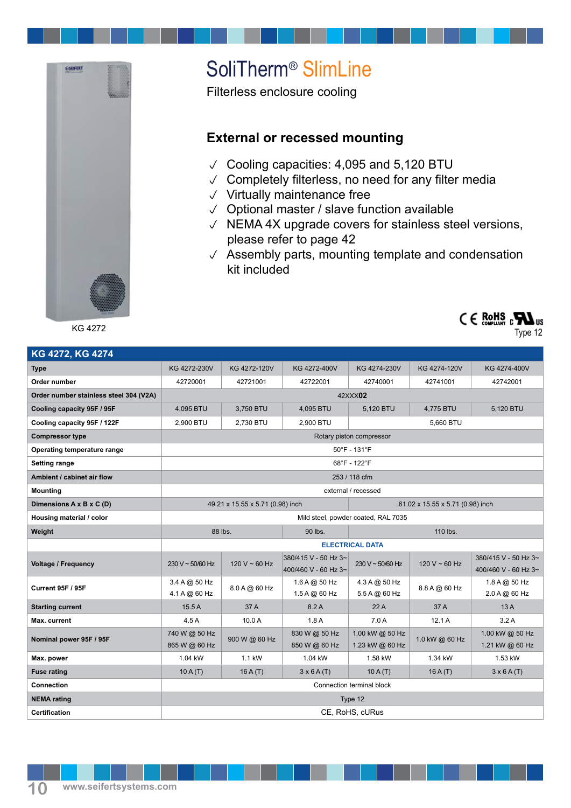

KG 4272

## SoliTherm® SlimLine

Filterless enclosure cooling

## **External or recessed mounting**

- $\vee$  Cooling capacities: 4,095 and 5,120 BTU
- $\vee$  Completely filterless, no need for any filter media
- $\vee$  Virtually maintenance free
- $\vee$  Optional master / slave function available
- $\sqrt{N}$  NEMA 4X upgrade covers for stainless steel versions, please refer to page 42
- $\sqrt{ }$  Assembly parts, mounting template and condensation kit included



Type 12

| KG 4272, KG 4274                       |                                     |               |                                              |                                    |                |                                              |
|----------------------------------------|-------------------------------------|---------------|----------------------------------------------|------------------------------------|----------------|----------------------------------------------|
| <b>Type</b>                            | KG 4272-230V                        | KG 4272-120V  | KG 4272-400V                                 | KG 4274-230V                       | KG 4274-120V   | KG 4274-400V                                 |
| Order number                           | 42720001                            | 42721001      | 42722001                                     | 42740001                           | 42741001       | 42742001                                     |
| Order number stainless steel 304 (V2A) | 42XXX02                             |               |                                              |                                    |                |                                              |
| Cooling capacity 95F / 95F             | 4,095 BTU                           | 3,750 BTU     | 4,095 BTU                                    | 5,120 BTU                          | 4.775 BTU      | 5,120 BTU                                    |
| Cooling capacity 95F / 122F            | 2,900 BTU                           | 2,730 BTU     | 2,900 BTU                                    | 5,660 BTU                          |                |                                              |
| <b>Compressor type</b>                 | Rotary piston compressor            |               |                                              |                                    |                |                                              |
| Operating temperature range            | $50^{\circ}$ F - 131 $^{\circ}$ F   |               |                                              |                                    |                |                                              |
| <b>Setting range</b>                   | 68°F - 122°F                        |               |                                              |                                    |                |                                              |
| Ambient / cabinet air flow             | 253 / 118 cfm                       |               |                                              |                                    |                |                                              |
| <b>Mounting</b>                        | external / recessed                 |               |                                              |                                    |                |                                              |
| Dimensions A x B x C (D)               | 49.21 x 15.55 x 5.71 (0.98) inch    |               |                                              | 61.02 x 15.55 x 5.71 (0.98) inch   |                |                                              |
| Housing material / color               | Mild steel, powder coated, RAL 7035 |               |                                              |                                    |                |                                              |
| Weight                                 | 88 lbs.                             |               | 90 lbs.                                      | 110 lbs.                           |                |                                              |
|                                        | <b>ELECTRICAL DATA</b>              |               |                                              |                                    |                |                                              |
| <b>Voltage / Frequency</b>             | 230 V ~ 50/60 Hz                    | 120 V ~ 60 Hz | 380/415 V - 50 Hz 3~<br>400/460 V - 60 Hz 3~ | 230 V ~ 50/60 Hz                   | 120 V ~ 60 Hz  | 380/415 V - 50 Hz 3~<br>400/460 V - 60 Hz 3~ |
| Current 95F / 95F                      | 3.4 A @ 50 Hz<br>4.1 A @ 60 Hz      | 8.0 A @ 60 Hz | 1.6 A @ 50 Hz<br>1.5 A @ 60 Hz               | 4.3 A @ 50 Hz<br>5.5 A @ 60 Hz     | 8.8 A @ 60 Hz  | 1.8 A @ 50 Hz<br>2.0 A @ 60 Hz               |
| <b>Starting current</b>                | 15.5A                               | 37 A          | 8.2A                                         | 22A                                | 37 A           | 13A                                          |
| Max. current                           | 4.5A                                | 10.0 A        | 1.8A                                         | 7.0A                               | 12.1A          | 3.2A                                         |
| Nominal power 95F / 95F                | 740 W @ 50 Hz<br>865 W @ 60 Hz      | 900 W @ 60 Hz | 830 W @ 50 Hz<br>850 W @ 60 Hz               | 1.00 kW @ 50 Hz<br>1.23 kW @ 60 Hz | 1.0 kW @ 60 Hz | 1.00 kW @ 50 Hz<br>1.21 kW @ 60 Hz           |
| Max. power                             | 1.04 kW                             | 1.1 kW        | 1.04 kW                                      | 1.58 kW                            | 1.34 kW        | 1.53 kW                                      |
| <b>Fuse rating</b>                     | 10A(T)                              | 16A(T)        | $3 \times 6$ A(T)                            | 10A(T)                             | 16A(T)         | $3 \times 6$ A(T)                            |
| <b>Connection</b>                      | Connection terminal block           |               |                                              |                                    |                |                                              |
| <b>NEMA</b> rating                     | Type 12                             |               |                                              |                                    |                |                                              |
| <b>Certification</b>                   | CE, RoHS, cURus                     |               |                                              |                                    |                |                                              |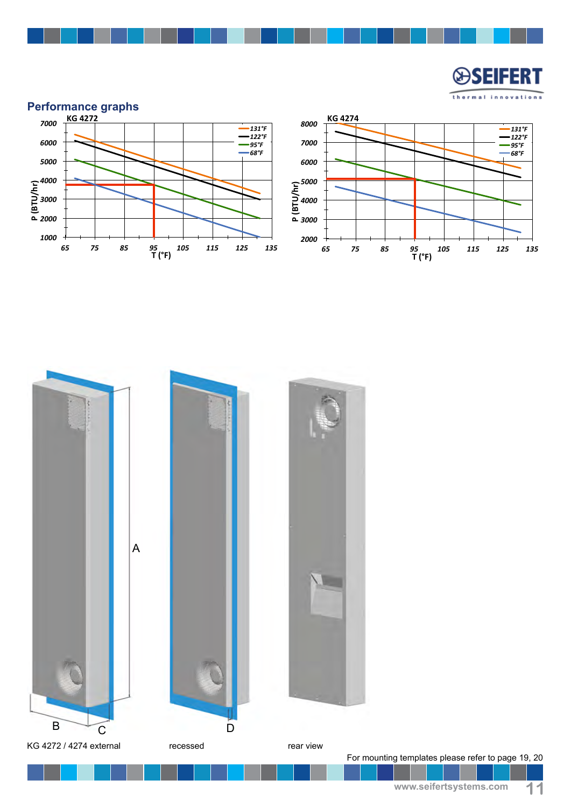⊌ SEIEERT thermal innovations





For mounting templates please refer to page 19, 20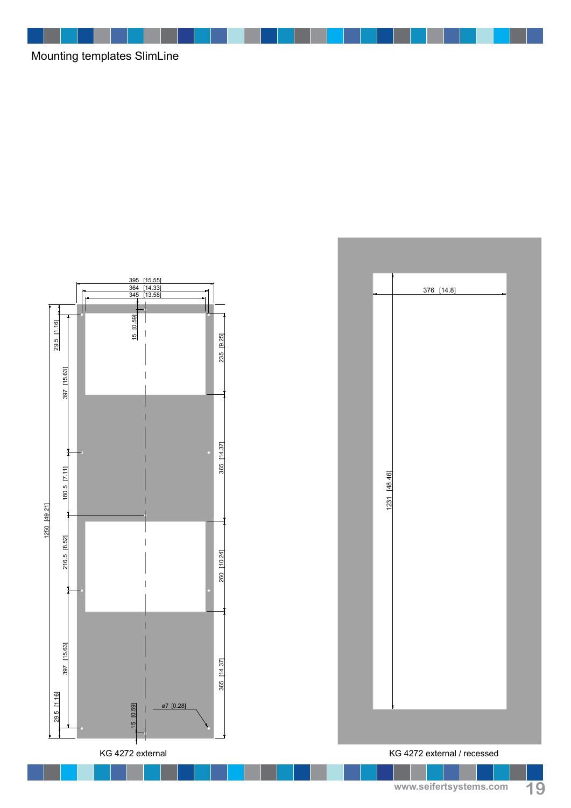